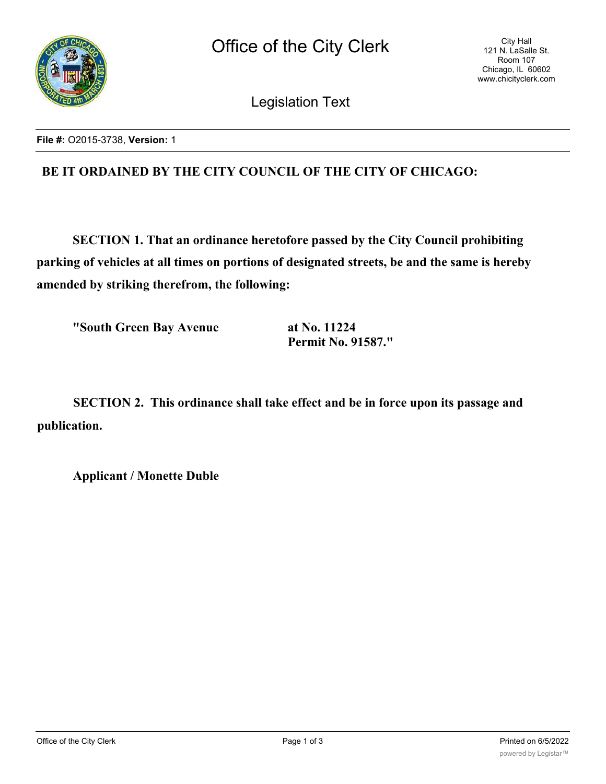

Legislation Text

**File #:** O2015-3738, **Version:** 1

# **BE IT ORDAINED BY THE CITY COUNCIL OF THE CITY OF CHICAGO:**

**SECTION 1. That an ordinance heretofore passed by the City Council prohibiting parking of vehicles at all times on portions of designated streets, be and the same is hereby amended by striking therefrom, the following:**

**"South Green Bay Avenue at No. 11224**

**Permit No. 91587."**

**SECTION 2. This ordinance shall take effect and be in force upon its passage and publication.**

**Applicant / Monette Duble**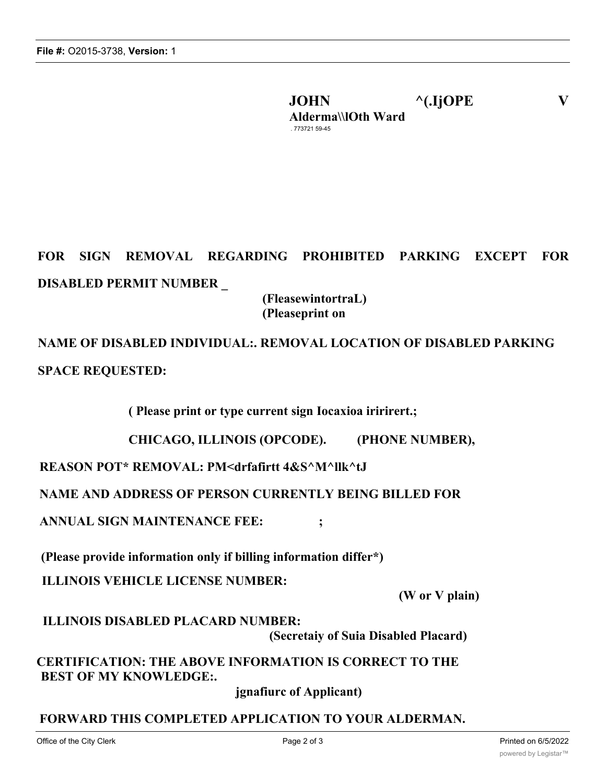**JOHN ^(.IjOPE V Alderma\\lOth Ward** . 773721 59-45

# **FOR SIGN REMOVAL REGARDING PROHIBITED PARKING EXCEPT FOR DISABLED PERMIT NUMBER \_**

# **(FleasewintortraL) (Pleaseprint on**

**NAME OF DISABLED INDIVIDUAL:. REMOVAL LOCATION OF DISABLED PARKING SPACE REQUESTED:**

**( Please print or type current sign Iocaxioa iririrert.;**

**CHICAGO, ILLINOIS (OPCODE). (PHONE NUMBER),**

**REASON POT\* REMOVAL: PM<drfafirtt 4&S^M^llk^tJ**

**NAME AND ADDRESS OF PERSON CURRENTLY BEING BILLED FOR**

**ANNUAL SIGN MAINTENANCE FEE: ;**

**(Please provide information only if billing information differ\*)**

**ILLINOIS VEHICLE LICENSE NUMBER:**

**(W or V plain)**

**ILLINOIS DISABLED PLACARD NUMBER:**

**(Secretaiy of Suia Disabled Placard)**

**CERTIFICATION: THE ABOVE INFORMATION IS CORRECT TO THE BEST OF MY KNOWLEDGE:.**

**jgnafiurc of Applicant)**

# **FORWARD THIS COMPLETED APPLICATION TO YOUR ALDERMAN.**